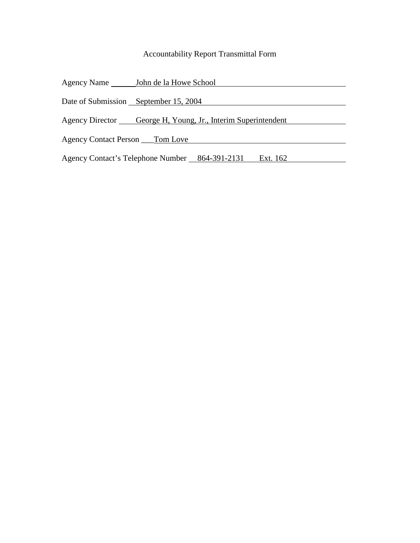### Accountability Report Transmittal Form

|                                       | Agency Name _________ John de la Howe School                  |
|---------------------------------------|---------------------------------------------------------------|
| Date of Submission September 15, 2004 |                                                               |
|                                       |                                                               |
|                                       | Agency Director George H, Young, Jr., Interim Superintendent  |
| Agency Contact Person ______ Tom Love |                                                               |
|                                       | Agency Contact's Telephone Number __ 864-391-2131<br>Ext. 162 |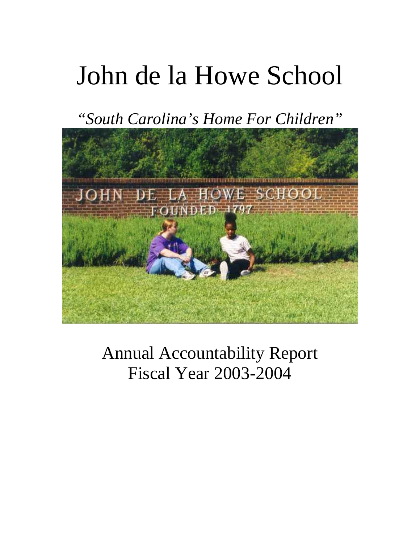# John de la Howe School

*"South Carolina's Home For Children"*



Annual Accountability Report Fiscal Year 2003-2004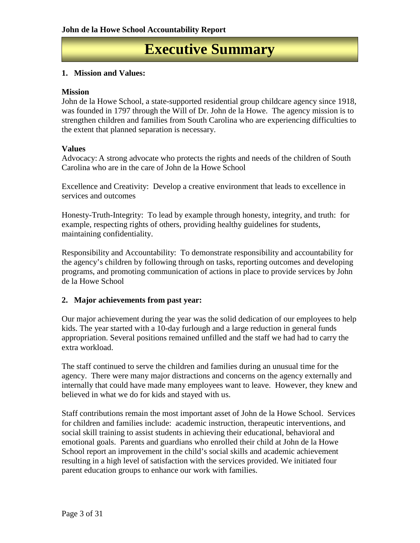### **Executive Summary**

#### **1. Mission and Values:**

#### **Mission**

John de la Howe School, a state-supported residential group childcare agency since 1918, was founded in 1797 through the Will of Dr. John de la Howe. The agency mission is to strengthen children and families from South Carolina who are experiencing difficulties to the extent that planned separation is necessary.

#### **Values**

Advocacy: A strong advocate who protects the rights and needs of the children of South Carolina who are in the care of John de la Howe School

Excellence and Creativity: Develop a creative environment that leads to excellence in services and outcomes

Honesty-Truth-Integrity: To lead by example through honesty, integrity, and truth: for example, respecting rights of others, providing healthy guidelines for students, maintaining confidentiality.

Responsibility and Accountability: To demonstrate responsibility and accountability for the agency's children by following through on tasks, reporting outcomes and developing programs, and promoting communication of actions in place to provide services by John de la Howe School

#### **2. Major achievements from past year:**

Our major achievement during the year was the solid dedication of our employees to help kids. The year started with a 10-day furlough and a large reduction in general funds appropriation. Several positions remained unfilled and the staff we had had to carry the extra workload.

The staff continued to serve the children and families during an unusual time for the agency. There were many major distractions and concerns on the agency externally and internally that could have made many employees want to leave. However, they knew and believed in what we do for kids and stayed with us.

Staff contributions remain the most important asset of John de la Howe School. Services for children and families include: academic instruction, therapeutic interventions, and social skill training to assist students in achieving their educational, behavioral and emotional goals. Parents and guardians who enrolled their child at John de la Howe School report an improvement in the child's social skills and academic achievement resulting in a high level of satisfaction with the services provided. We initiated four parent education groups to enhance our work with families.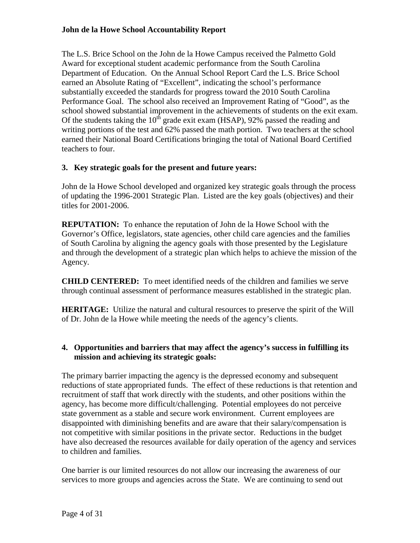#### **John de la Howe School Accountability Report**

The L.S. Brice School on the John de la Howe Campus received the Palmetto Gold Award for exceptional student academic performance from the South Carolina Department of Education. On the Annual School Report Card the L.S. Brice School earned an Absolute Rating of "Excellent", indicating the school's performance substantially exceeded the standards for progress toward the 2010 South Carolina Performance Goal. The school also received an Improvement Rating of "Good", as the school showed substantial improvement in the achievements of students on the exit exam. Of the students taking the  $10^{th}$  grade exit exam (HSAP), 92% passed the reading and writing portions of the test and 62% passed the math portion. Two teachers at the school earned their National Board Certifications bringing the total of National Board Certified teachers to four.

#### **3. Key strategic goals for the present and future years:**

John de la Howe School developed and organized key strategic goals through the process of updating the 1996-2001 Strategic Plan. Listed are the key goals (objectives) and their titles for 2001-2006.

**REPUTATION:** To enhance the reputation of John de la Howe School with the Governor's Office, legislators, state agencies, other child care agencies and the families of South Carolina by aligning the agency goals with those presented by the Legislature and through the development of a strategic plan which helps to achieve the mission of the Agency.

**CHILD CENTERED:** To meet identified needs of the children and families we serve through continual assessment of performance measures established in the strategic plan.

**HERITAGE:** Utilize the natural and cultural resources to preserve the spirit of the Will of Dr. John de la Howe while meeting the needs of the agency's clients.

#### **4. Opportunities and barriers that may affect the agency's success in fulfilling its mission and achieving its strategic goals:**

The primary barrier impacting the agency is the depressed economy and subsequent reductions of state appropriated funds. The effect of these reductions is that retention and recruitment of staff that work directly with the students, and other positions within the agency, has become more difficult/challenging. Potential employees do not perceive state government as a stable and secure work environment. Current employees are disappointed with diminishing benefits and are aware that their salary/compensation is not competitive with similar positions in the private sector. Reductions in the budget have also decreased the resources available for daily operation of the agency and services to children and families.

One barrier is our limited resources do not allow our increasing the awareness of our services to more groups and agencies across the State. We are continuing to send out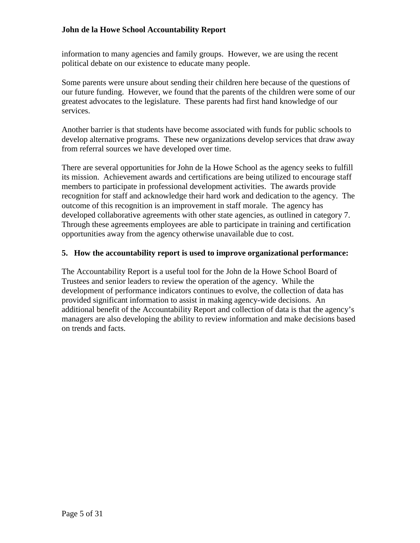#### **John de la Howe School Accountability Report**

information to many agencies and family groups. However, we are using the recent political debate on our existence to educate many people.

Some parents were unsure about sending their children here because of the questions of our future funding. However, we found that the parents of the children were some of our greatest advocates to the legislature. These parents had first hand knowledge of our services.

Another barrier is that students have become associated with funds for public schools to develop alternative programs. These new organizations develop services that draw away from referral sources we have developed over time.

There are several opportunities for John de la Howe School as the agency seeks to fulfill its mission. Achievement awards and certifications are being utilized to encourage staff members to participate in professional development activities. The awards provide recognition for staff and acknowledge their hard work and dedication to the agency. The outcome of this recognition is an improvement in staff morale. The agency has developed collaborative agreements with other state agencies, as outlined in category 7. Through these agreements employees are able to participate in training and certification opportunities away from the agency otherwise unavailable due to cost.

#### **5. How the accountability report is used to improve organizational performance:**

The Accountability Report is a useful tool for the John de la Howe School Board of Trustees and senior leaders to review the operation of the agency. While the development of performance indicators continues to evolve, the collection of data has provided significant information to assist in making agency-wide decisions. An additional benefit of the Accountability Report and collection of data is that the agency's managers are also developing the ability to review information and make decisions based on trends and facts.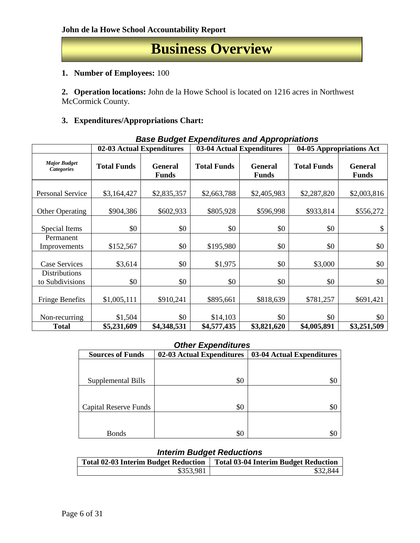### **Business Overview**

#### **1. Number of Employees:** 100

**2. Operation locations:** John de la Howe School is located on 1216 acres in Northwest McCormick County.

#### **3. Expenditures/Appropriations Chart:**

| Dase Duuget Lypenultures and Appl ophations |                                                                                                              |             |             |                           |                                              |             |  |  |  |  |
|---------------------------------------------|--------------------------------------------------------------------------------------------------------------|-------------|-------------|---------------------------|----------------------------------------------|-------------|--|--|--|--|
|                                             | 02-03 Actual Expenditures                                                                                    |             |             | 03-04 Actual Expenditures | 04-05 Appropriations $\overline{\text{Act}}$ |             |  |  |  |  |
| <b>Major Budget</b><br><b>Categories</b>    | <b>Total Funds</b><br><b>Total Funds</b><br><b>General</b><br><b>General</b><br><b>Funds</b><br><b>Funds</b> |             |             | <b>Total Funds</b>        | <b>General</b><br><b>Funds</b>               |             |  |  |  |  |
| Personal Service                            | \$3,164,427                                                                                                  | \$2,835,357 | \$2,663,788 | \$2,405,983               | \$2,287,820                                  | \$2,003,816 |  |  |  |  |
| Other Operating                             | \$904,386                                                                                                    | \$602,933   | \$805,928   | \$596,998                 | \$933,814                                    | \$556,272   |  |  |  |  |
| Special Items                               | \$0                                                                                                          | \$0         | \$0         | \$0                       | \$0                                          | \$          |  |  |  |  |
| Permanent<br>Improvements                   | \$152,567                                                                                                    | \$0         | \$195,980   | \$0                       | \$0                                          | \$0         |  |  |  |  |
| <b>Case Services</b>                        | \$3,614                                                                                                      | \$0         | \$1,975     | \$0                       | \$3,000                                      | \$0         |  |  |  |  |
| <b>Distributions</b><br>to Subdivisions     | \$0                                                                                                          | \$0         | \$0         | \$0                       | \$0                                          | \$0         |  |  |  |  |
| <b>Fringe Benefits</b>                      | \$1,005,111                                                                                                  | \$910,241   | \$895,661   | \$818,639                 | \$781,257                                    | \$691,421   |  |  |  |  |
| Non-recurring                               | \$1,504                                                                                                      | \$0         | \$14,103    | \$0                       | \$0                                          | \$0         |  |  |  |  |
| <b>Total</b>                                | \$5,231,609                                                                                                  | \$4,348,531 | \$4,577,435 | \$3,821,620               | \$4,005,891                                  | \$3,251,509 |  |  |  |  |

#### *Base Budget Expenditures and Appropriations*

#### *Other Expenditures*

| <b>Sources of Funds</b> | 02-03 Actual Expenditures | 03-04 Actual Expenditures |
|-------------------------|---------------------------|---------------------------|
|                         |                           |                           |
|                         |                           |                           |
| Supplemental Bills      | \$0                       | \$0                       |
|                         |                           |                           |
|                         |                           |                           |
| Capital Reserve Funds   | \$0                       | \$0                       |
|                         |                           |                           |
|                         |                           |                           |
| Bonds                   | \$0                       |                           |

#### *Interim Budget Reductions*

| <b>Total 02-03 Interim Budget Reduction</b> | <b>Total 03-04 Interim Budget Reduction</b> |
|---------------------------------------------|---------------------------------------------|
| \$353,981                                   | \$32,844                                    |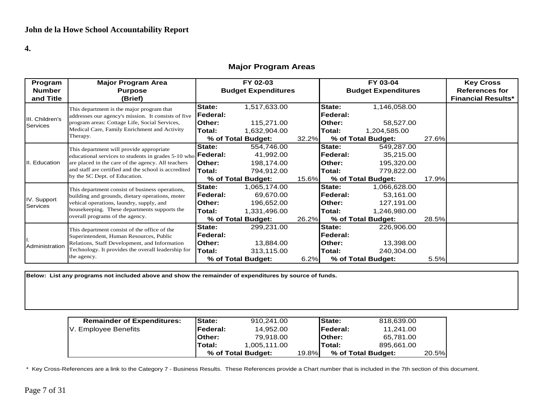**4.**

#### **Major Program Areas**

| Program                                                         | <b>Major Program Area</b>                                           | FY 02-03         |                            |        |                 | FY 03-04                   |       | <b>Key Cross</b>          |
|-----------------------------------------------------------------|---------------------------------------------------------------------|------------------|----------------------------|--------|-----------------|----------------------------|-------|---------------------------|
| <b>Number</b>                                                   | <b>Purpose</b>                                                      |                  | <b>Budget Expenditures</b> |        |                 | <b>Budget Expenditures</b> |       | <b>References for</b>     |
| and Title                                                       | (Brief)                                                             |                  |                            |        |                 |                            |       | <b>Financial Results*</b> |
|                                                                 | This department is the major program that                           | <b>State:</b>    | 1,517,633.00               |        | State:          | 1,146,058.00               |       |                           |
|                                                                 | addresses our agency's mission. It consists of five                 | <b>IFederal:</b> |                            |        | Federal:        |                            |       |                           |
| III. Children's<br><b>Services</b>                              | program areas: Cottage Life, Social Services,                       | lOther:          | 115,271.00                 |        | Other:          | 58,527.00                  |       |                           |
|                                                                 | Medical Care, Family Enrichment and Activity                        | Total:           | 1,632,904.00               |        | Total:          | 1,204,585.00               |       |                           |
|                                                                 | Therapy.                                                            |                  | % of Total Budget:         | 32.2%  |                 | % of Total Budget:         | 27.6% |                           |
|                                                                 | This department will provide appropriate                            | State:           | 554,746.00                 |        | State:          | 549,287.00                 |       |                           |
|                                                                 | educational services to students in grades 5-10 who <b>Federal:</b> |                  | 41,992.00                  |        | <b>Federal:</b> | 35,215.00                  |       |                           |
| Education<br>are placed in the care of the agency. All teachers | lOther:                                                             | 198,174.00       |                            | Other: | 195,320.00      |                            |       |                           |
|                                                                 | and staff are certified and the school is accredited                | lTotal:          | 794,912.00                 |        | Total:          | 779,822.00                 |       |                           |
|                                                                 | by the SC Dept. of Education.                                       |                  | % of Total Budget:         | 15.6%  |                 | % of Total Budget:         | 17.9% |                           |
|                                                                 | This department consist of business operations,                     | State:           | 1,065,174.00               |        | State:          | 1,066,628.00               |       |                           |
|                                                                 | building and grounds, dietary operations, moter                     | <b> Federal:</b> | 69,670.00                  |        | <b>Federal:</b> | 53,161.00                  |       |                           |
| IV. Support<br>Services                                         | vehical operations, laundry, supply, and                            | lOther:          | 196,652.00                 |        | Other:          | 127,191.00                 |       |                           |
|                                                                 | housekeeping. These departments supports the                        | Total:           | 1,331,496.00               |        | Total:          | 1,246,980.00               |       |                           |
|                                                                 | overall programs of the agency.                                     |                  | % of Total Budget:         | 26.2%  |                 | % of Total Budget:         | 28.5% |                           |
|                                                                 | This department consist of the office of the                        | State:           | 299,231.00                 |        | State:          | 226,906.00                 |       |                           |
|                                                                 | Superintendent, Human Resources, Public                             | <b>Federal:</b>  |                            |        | <b>Federal:</b> |                            |       |                           |
| Administration                                                  | Relations, Staff Development, and Information                       | lOther:          | 13,884.00                  |        | Other:          | 13,398.00                  |       |                           |
|                                                                 | Technology. It provides the overall leadership for                  | Total:           | 313,115.00                 |        | Total:          | 240,304.00                 |       |                           |
|                                                                 | the agency.                                                         |                  | % of Total Budget:         | 6.2%   |                 | % of Total Budget:         | 5.5%  |                           |

**Below: List any programs not included above and show the remainder of expenditures by source of funds.**

| <b>Remainder of Expenditures:</b> | lState:         | 910.241.00         |       | <b>State:</b> | 818,639.00         |       |
|-----------------------------------|-----------------|--------------------|-------|---------------|--------------------|-------|
| V. Employee Benefits              | <b>Federal:</b> | 14.952.00          |       | lFederal:     | 11.241.00          |       |
|                                   | lOther:         | 79.918.00          |       | Other:        | 65.781.00          |       |
|                                   | Total:          | 1.005.111.00       |       | Total:        | 895.661.00         |       |
|                                   |                 | % of Total Budget: | 19.8% |               | % of Total Budget: | 20.5% |

\* Key Cross-References are a link to the Category 7 - Business Results. These References provide a Chart number that is included in the 7th section of this document.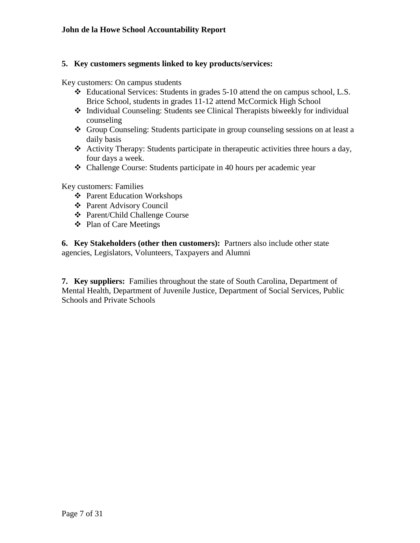#### **5. Key customers segments linked to key products/services:**

Key customers: On campus students

- Educational Services: Students in grades 5-10 attend the on campus school, L.S. Brice School, students in grades 11-12 attend McCormick High School
- Individual Counseling: Students see Clinical Therapists biweekly for individual counseling
- Group Counseling: Students participate in group counseling sessions on at least a daily basis
- \* Activity Therapy: Students participate in therapeutic activities three hours a day, four days a week.
- Challenge Course: Students participate in 40 hours per academic year

Key customers: Families

- Parent Education Workshops
- Parent Advisory Council
- Parent/Child Challenge Course
- ❖ Plan of Care Meetings

**6. Key Stakeholders (other then customers):** Partners also include other state agencies, Legislators, Volunteers, Taxpayers and Alumni

**7. Key suppliers:** Families throughout the state of South Carolina, Department of Mental Health, Department of Juvenile Justice, Department of Social Services, Public Schools and Private Schools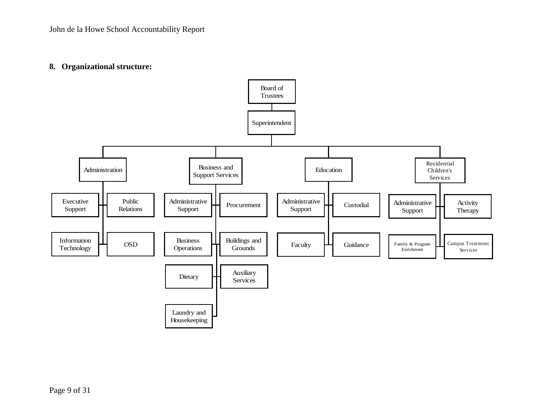#### **8. Organizational structure:**

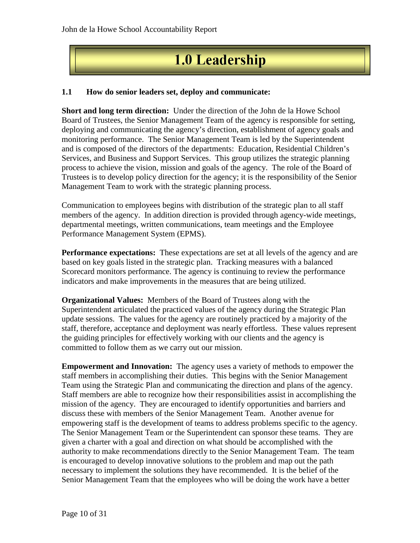### **1.0 Leadership**

#### **1.1 How do senior leaders set, deploy and communicate:**

**Short and long term direction:** Under the direction of the John de la Howe School Board of Trustees, the Senior Management Team of the agency is responsible for setting, deploying and communicating the agency's direction, establishment of agency goals and monitoring performance. The Senior Management Team is led by the Superintendent and is composed of the directors of the departments: Education, Residential Children's Services, and Business and Support Services. This group utilizes the strategic planning process to achieve the vision, mission and goals of the agency. The role of the Board of Trustees is to develop policy direction for the agency; it is the responsibility of the Senior Management Team to work with the strategic planning process.

Communication to employees begins with distribution of the strategic plan to all staff members of the agency. In addition direction is provided through agency-wide meetings, departmental meetings, written communications, team meetings and the Employee Performance Management System (EPMS).

**Performance expectations:** These expectations are set at all levels of the agency and are based on key goals listed in the strategic plan. Tracking measures with a balanced Scorecard monitors performance. The agency is continuing to review the performance indicators and make improvements in the measures that are being utilized.

**Organizational Values:** Members of the Board of Trustees along with the Superintendent articulated the practiced values of the agency during the Strategic Plan update sessions. The values for the agency are routinely practiced by a majority of the staff, therefore, acceptance and deployment was nearly effortless. These values represent the guiding principles for effectively working with our clients and the agency is committed to follow them as we carry out our mission.

**Empowerment and Innovation:** The agency uses a variety of methods to empower the staff members in accomplishing their duties. This begins with the Senior Management Team using the Strategic Plan and communicating the direction and plans of the agency. Staff members are able to recognize how their responsibilities assist in accomplishing the mission of the agency. They are encouraged to identify opportunities and barriers and discuss these with members of the Senior Management Team. Another avenue for empowering staff is the development of teams to address problems specific to the agency. The Senior Management Team or the Superintendent can sponsor these teams. They are given a charter with a goal and direction on what should be accomplished with the authority to make recommendations directly to the Senior Management Team. The team is encouraged to develop innovative solutions to the problem and map out the path necessary to implement the solutions they have recommended. It is the belief of the Senior Management Team that the employees who will be doing the work have a better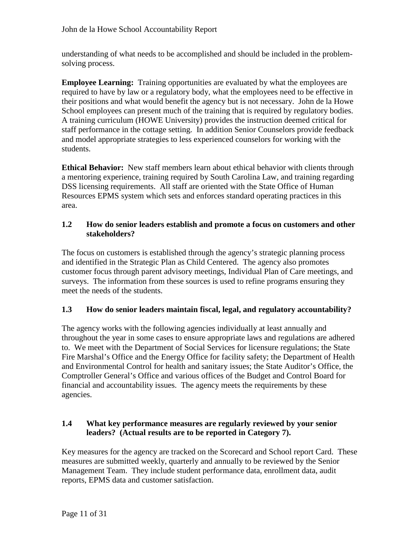understanding of what needs to be accomplished and should be included in the problemsolving process.

**Employee Learning:** Training opportunities are evaluated by what the employees are required to have by law or a regulatory body, what the employees need to be effective in their positions and what would benefit the agency but is not necessary. John de la Howe School employees can present much of the training that is required by regulatory bodies. A training curriculum (HOWE University) provides the instruction deemed critical for staff performance in the cottage setting. In addition Senior Counselors provide feedback and model appropriate strategies to less experienced counselors for working with the students.

**Ethical Behavior:** New staff members learn about ethical behavior with clients through a mentoring experience, training required by South Carolina Law, and training regarding DSS licensing requirements. All staff are oriented with the State Office of Human Resources EPMS system which sets and enforces standard operating practices in this area.

#### **1.2 How do senior leaders establish and promote a focus on customers and other stakeholders?**

The focus on customers is established through the agency's strategic planning process and identified in the Strategic Plan as Child Centered. The agency also promotes customer focus through parent advisory meetings, Individual Plan of Care meetings, and surveys. The information from these sources is used to refine programs ensuring they meet the needs of the students.

#### **1.3 How do senior leaders maintain fiscal, legal, and regulatory accountability?**

The agency works with the following agencies individually at least annually and throughout the year in some cases to ensure appropriate laws and regulations are adhered to. We meet with the Department of Social Services for licensure regulations; the State Fire Marshal's Office and the Energy Office for facility safety; the Department of Health and Environmental Control for health and sanitary issues; the State Auditor's Office, the Comptroller General's Office and various offices of the Budget and Control Board for financial and accountability issues. The agency meets the requirements by these agencies.

#### **1.4 What key performance measures are regularly reviewed by your senior leaders? (Actual results are to be reported in Category 7).**

Key measures for the agency are tracked on the Scorecard and School report Card. These measures are submitted weekly, quarterly and annually to be reviewed by the Senior Management Team. They include student performance data, enrollment data, audit reports, EPMS data and customer satisfaction.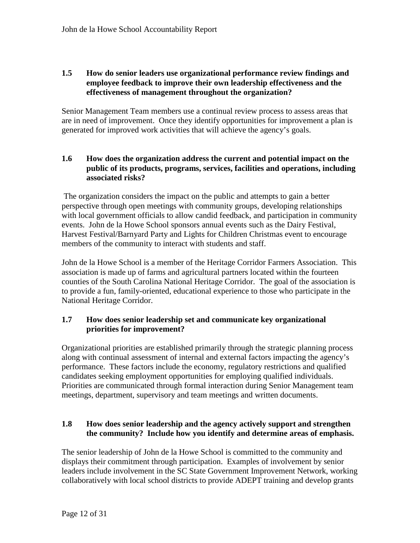#### **1.5 How do senior leaders use organizational performance review findings and employee feedback to improve their own leadership effectiveness and the effectiveness of management throughout the organization?**

Senior Management Team members use a continual review process to assess areas that are in need of improvement. Once they identify opportunities for improvement a plan is generated for improved work activities that will achieve the agency's goals.

#### **1.6 How does the organization address the current and potential impact on the public of its products, programs, services, facilities and operations, including associated risks?**

The organization considers the impact on the public and attempts to gain a better perspective through open meetings with community groups, developing relationships with local government officials to allow candid feedback, and participation in community events. John de la Howe School sponsors annual events such as the Dairy Festival, Harvest Festival/Barnyard Party and Lights for Children Christmas event to encourage members of the community to interact with students and staff.

John de la Howe School is a member of the Heritage Corridor Farmers Association. This association is made up of farms and agricultural partners located within the fourteen counties of the South Carolina National Heritage Corridor. The goal of the association is to provide a fun, family-oriented, educational experience to those who participate in the National Heritage Corridor.

#### **1.7 How does senior leadership set and communicate key organizational priorities for improvement?**

Organizational priorities are established primarily through the strategic planning process along with continual assessment of internal and external factors impacting the agency's performance. These factors include the economy, regulatory restrictions and qualified candidates seeking employment opportunities for employing qualified individuals. Priorities are communicated through formal interaction during Senior Management team meetings, department, supervisory and team meetings and written documents.

#### **1.8 How does senior leadership and the agency actively support and strengthen the community? Include how you identify and determine areas of emphasis.**

The senior leadership of John de la Howe School is committed to the community and displays their commitment through participation. Examples of involvement by senior leaders include involvement in the SC State Government Improvement Network, working collaboratively with local school districts to provide ADEPT training and develop grants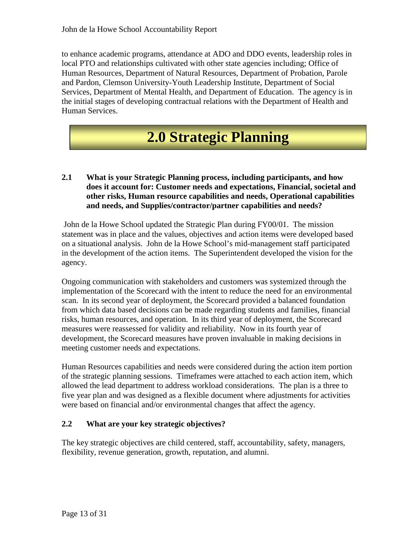to enhance academic programs, attendance at ADO and DDO events, leadership roles in local PTO and relationships cultivated with other state agencies including; Office of Human Resources, Department of Natural Resources, Department of Probation, Parole and Pardon, Clemson University-Youth Leadership Institute, Department of Social Services, Department of Mental Health, and Department of Education. The agency is in the initial stages of developing contractual relations with the Department of Health and Human Services.

## **2.0 Strategic Planning**

#### **2.1 What is your Strategic Planning process, including participants, and how does it account for: Customer needs and expectations, Financial, societal and other risks, Human resource capabilities and needs, Operational capabilities and needs, and Supplies/contractor/partner capabilities and needs?**

John de la Howe School updated the Strategic Plan during FY00/01. The mission statement was in place and the values, objectives and action items were developed based on a situational analysis. John de la Howe School's mid-management staff participated in the development of the action items. The Superintendent developed the vision for the agency.

Ongoing communication with stakeholders and customers was systemized through the implementation of the Scorecard with the intent to reduce the need for an environmental scan. In its second year of deployment, the Scorecard provided a balanced foundation from which data based decisions can be made regarding students and families, financial risks, human resources, and operation. In its third year of deployment, the Scorecard measures were reassessed for validity and reliability. Now in its fourth year of development, the Scorecard measures have proven invaluable in making decisions in meeting customer needs and expectations.

Human Resources capabilities and needs were considered during the action item portion of the strategic planning sessions. Timeframes were attached to each action item, which allowed the lead department to address workload considerations. The plan is a three to five year plan and was designed as a flexible document where adjustments for activities were based on financial and/or environmental changes that affect the agency.

#### **2.2 What are your key strategic objectives?**

The key strategic objectives are child centered, staff, accountability, safety, managers, flexibility, revenue generation, growth, reputation, and alumni.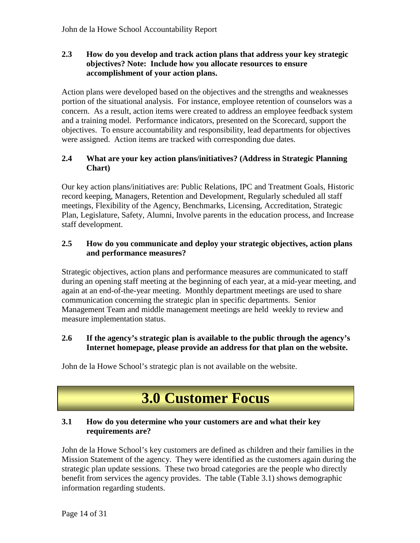#### **2.3 How do you develop and track action plans that address your key strategic objectives? Note: Include how you allocate resources to ensure accomplishment of your action plans.**

Action plans were developed based on the objectives and the strengths and weaknesses portion of the situational analysis. For instance, employee retention of counselors was a concern. As a result, action items were created to address an employee feedback system and a training model. Performance indicators, presented on the Scorecard, support the objectives. To ensure accountability and responsibility, lead departments for objectives were assigned. Action items are tracked with corresponding due dates.

#### **2.4 What are your key action plans/initiatives? (Address in Strategic Planning Chart)**

Our key action plans/initiatives are: Public Relations, IPC and Treatment Goals, Historic record keeping, Managers, Retention and Development, Regularly scheduled all staff meetings, Flexibility of the Agency, Benchmarks, Licensing, Accreditation, Strategic Plan, Legislature, Safety, Alumni, Involve parents in the education process, and Increase staff development.

#### **2.5 How do you communicate and deploy your strategic objectives, action plans and performance measures?**

Strategic objectives, action plans and performance measures are communicated to staff during an opening staff meeting at the beginning of each year, at a mid-year meeting, and again at an end-of-the-year meeting. Monthly department meetings are used to share communication concerning the strategic plan in specific departments. Senior Management Team and middle management meetings are held weekly to review and measure implementation status.

#### **2.6 If the agency's strategic plan is available to the public through the agency's Internet homepage, please provide an address for that plan on the website.**

John de la Howe School's strategic plan is not available on the website.

### **3.0 Customer Focus**

#### **3.1 How do you determine who your customers are and what their key requirements are?**

John de la Howe School's key customers are defined as children and their families in the Mission Statement of the agency. They were identified as the customers again during the strategic plan update sessions. These two broad categories are the people who directly benefit from services the agency provides. The table (Table 3.1) shows demographic information regarding students.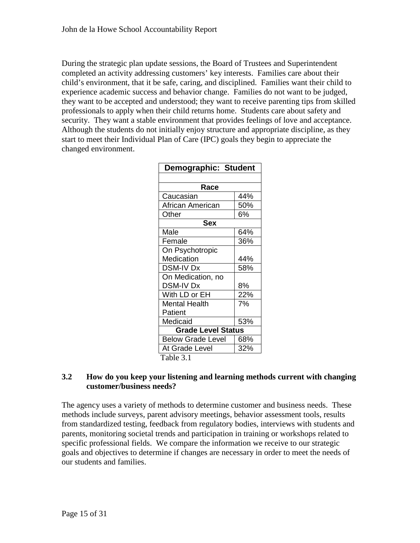During the strategic plan update sessions, the Board of Trustees and Superintendent completed an activity addressing customers' key interests. Families care about their child's environment, that it be safe, caring, and disciplined. Families want their child to experience academic success and behavior change. Families do not want to be judged, they want to be accepted and understood; they want to receive parenting tips from skilled professionals to apply when their child returns home. Students care about safety and security. They want a stable environment that provides feelings of love and acceptance. Although the students do not initially enjoy structure and appropriate discipline, as they start to meet their Individual Plan of Care (IPC) goals they begin to appreciate the changed environment.

| Demographic: Student      |     |  |  |  |  |  |  |
|---------------------------|-----|--|--|--|--|--|--|
|                           |     |  |  |  |  |  |  |
| Race                      |     |  |  |  |  |  |  |
| Caucasian                 | 44% |  |  |  |  |  |  |
| African American          | 50% |  |  |  |  |  |  |
| Other                     | 6%  |  |  |  |  |  |  |
| <b>Sex</b>                |     |  |  |  |  |  |  |
| Male                      | 64% |  |  |  |  |  |  |
| Female                    | 36% |  |  |  |  |  |  |
| On Psychotropic           |     |  |  |  |  |  |  |
| Medication                | 44% |  |  |  |  |  |  |
| <b>DSM-IV Dx</b>          | 58% |  |  |  |  |  |  |
| On Medication, no         |     |  |  |  |  |  |  |
| DSM-IV Dx                 | 8%  |  |  |  |  |  |  |
| With LD or EH             | 22% |  |  |  |  |  |  |
| <b>Mental Health</b>      | 7%  |  |  |  |  |  |  |
| Patient                   |     |  |  |  |  |  |  |
| Medicaid                  | 53% |  |  |  |  |  |  |
| <b>Grade Level Status</b> |     |  |  |  |  |  |  |
| <b>Below Grade Level</b>  | 68% |  |  |  |  |  |  |
| At Grade Level            | 32% |  |  |  |  |  |  |
| Table 3.1                 |     |  |  |  |  |  |  |

#### **3.2 How do you keep your listening and learning methods current with changing customer/business needs?**

The agency uses a variety of methods to determine customer and business needs. These methods include surveys, parent advisory meetings, behavior assessment tools, results from standardized testing, feedback from regulatory bodies, interviews with students and parents, monitoring societal trends and participation in training or workshops related to specific professional fields. We compare the information we receive to our strategic goals and objectives to determine if changes are necessary in order to meet the needs of our students and families.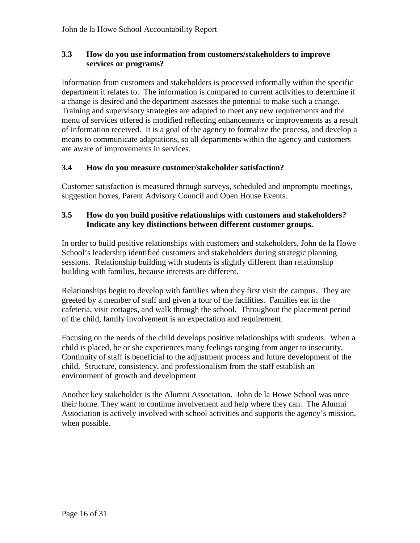#### **3.3 How do you use information from customers/stakeholders to improve services or programs?**

Information from customers and stakeholders is processed informally within the specific department it relates to. The information is compared to current activities to determine if a change is desired and the department assesses the potential to make such a change. Training and supervisory strategies are adapted to meet any new requirements and the menu of services offered is modified reflecting enhancements or improvements as a result of information received. It is a goal of the agency to formalize the process, and develop a means to communicate adaptations, so all departments within the agency and customers are aware of improvements in services.

#### **3.4 How do you measure customer/stakeholder satisfaction?**

Customer satisfaction is measured through surveys, scheduled and impromptu meetings, suggestion boxes, Parent Advisory Council and Open House Events.

#### **3.5 How do you build positive relationships with customers and stakeholders? Indicate any key distinctions between different customer groups.**

In order to build positive relationships with customers and stakeholders, John de la Howe School's leadership identified customers and stakeholders during strategic planning sessions. Relationship building with students is slightly different than relationship building with families, because interests are different.

Relationships begin to develop with families when they first visit the campus. They are greeted by a member of staff and given a tour of the facilities. Families eat in the cafeteria, visit cottages, and walk through the school. Throughout the placement period of the child, family involvement is an expectation and requirement.

Focusing on the needs of the child develops positive relationships with students. When a child is placed, he or she experiences many feelings ranging from anger to insecurity. Continuity of staff is beneficial to the adjustment process and future development of the child. Structure, consistency, and professionalism from the staff establish an environment of growth and development.

Another key stakeholder is the Alumni Association. John de la Howe School was once their home. They want to continue involvement and help where they can. The Alumni Association is actively involved with school activities and supports the agency's mission, when possible.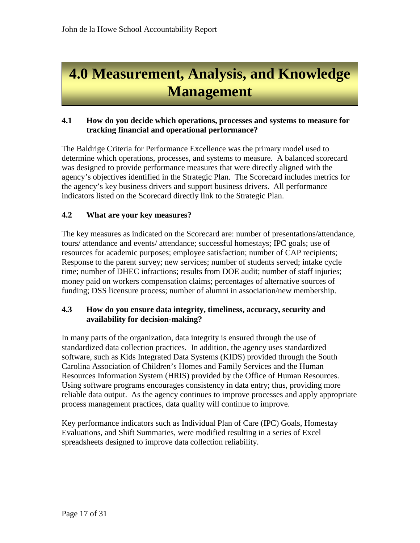# **4.0 Measurement, Analysis, and Knowledge Management**

#### **4.1 How do you decide which operations, processes and systems to measure for tracking financial and operational performance?**

The Baldrige Criteria for Performance Excellence was the primary model used to determine which operations, processes, and systems to measure. A balanced scorecard was designed to provide performance measures that were directly aligned with the agency's objectives identified in the Strategic Plan. The Scorecard includes metrics for the agency's key business drivers and support business drivers. All performance indicators listed on the Scorecard directly link to the Strategic Plan.

#### **4.2 What are your key measures?**

The key measures as indicated on the Scorecard are: number of presentations/attendance, tours/ attendance and events/ attendance; successful homestays; IPC goals; use of resources for academic purposes; employee satisfaction; number of CAP recipients; Response to the parent survey; new services; number of students served; intake cycle time; number of DHEC infractions; results from DOE audit; number of staff injuries; money paid on workers compensation claims; percentages of alternative sources of funding; DSS licensure process; number of alumni in association/new membership.

#### **4.3 How do you ensure data integrity, timeliness, accuracy, security and availability for decision-making?**

In many parts of the organization, data integrity is ensured through the use of standardized data collection practices. In addition, the agency uses standardized software, such as Kids Integrated Data Systems (KIDS) provided through the South Carolina Association of Children's Homes and Family Services and the Human Resources Information System (HRIS) provided by the Office of Human Resources. Using software programs encourages consistency in data entry; thus, providing more reliable data output. As the agency continues to improve processes and apply appropriate process management practices, data quality will continue to improve.

Key performance indicators such as Individual Plan of Care (IPC) Goals, Homestay Evaluations, and Shift Summaries, were modified resulting in a series of Excel spreadsheets designed to improve data collection reliability.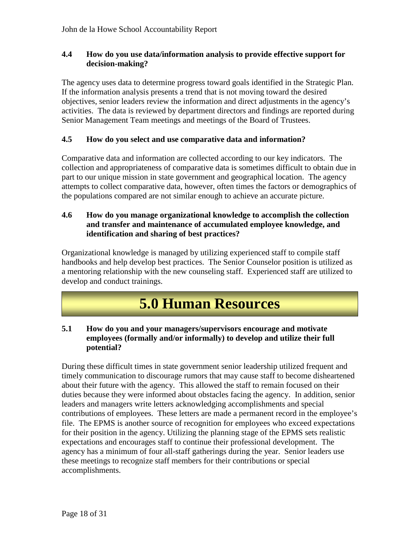#### **4.4 How do you use data/information analysis to provide effective support for decision-making?**

The agency uses data to determine progress toward goals identified in the Strategic Plan. If the information analysis presents a trend that is not moving toward the desired objectives, senior leaders review the information and direct adjustments in the agency's activities. The data is reviewed by department directors and findings are reported during Senior Management Team meetings and meetings of the Board of Trustees.

#### **4.5 How do you select and use comparative data and information?**

Comparative data and information are collected according to our key indicators. The collection and appropriateness of comparative data is sometimes difficult to obtain due in part to our unique mission in state government and geographical location. The agency attempts to collect comparative data, however, often times the factors or demographics of the populations compared are not similar enough to achieve an accurate picture.

#### **4.6 How do you manage organizational knowledge to accomplish the collection and transfer and maintenance of accumulated employee knowledge, and identification and sharing of best practices?**

Organizational knowledge is managed by utilizing experienced staff to compile staff handbooks and help develop best practices. The Senior Counselor position is utilized as a mentoring relationship with the new counseling staff. Experienced staff are utilized to develop and conduct trainings.

### **5.0 Human Resources**

#### **5.1 How do you and your managers/supervisors encourage and motivate employees (formally and/or informally) to develop and utilize their full potential?**

During these difficult times in state government senior leadership utilized frequent and timely communication to discourage rumors that may cause staff to become disheartened about their future with the agency. This allowed the staff to remain focused on their duties because they were informed about obstacles facing the agency. In addition, senior leaders and managers write letters acknowledging accomplishments and special contributions of employees. These letters are made a permanent record in the employee's file. The EPMS is another source of recognition for employees who exceed expectations for their position in the agency. Utilizing the planning stage of the EPMS sets realistic expectations and encourages staff to continue their professional development. The agency has a minimum of four all-staff gatherings during the year. Senior leaders use these meetings to recognize staff members for their contributions or special accomplishments.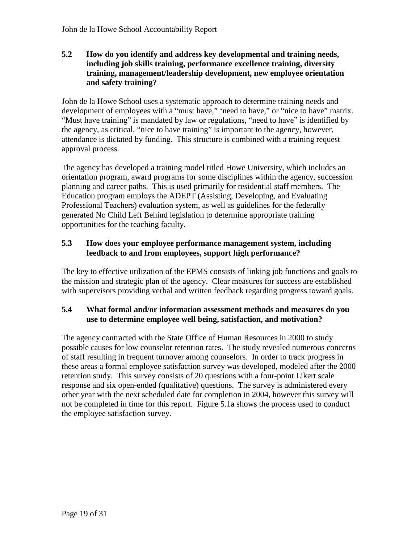#### **5.2 How do you identify and address key developmental and training needs, including job skills training, performance excellence training, diversity training, management/leadership development, new employee orientation and safety training?**

John de la Howe School uses a systematic approach to determine training needs and development of employees with a "must have," 'need to have," or "nice to have" matrix. "Must have training" is mandated by law or regulations, "need to have" is identified by the agency, as critical, "nice to have training" is important to the agency, however, attendance is dictated by funding. This structure is combined with a training request approval process.

The agency has developed a training model titled Howe University, which includes an orientation program, award programs for some disciplines within the agency, succession planning and career paths. This is used primarily for residential staff members. The Education program employs the ADEPT (Assisting, Developing, and Evaluating Professional Teachers) evaluation system, as well as guidelines for the federally generated No Child Left Behind legislation to determine appropriate training opportunities for the teaching faculty.

#### **5.3 How does your employee performance management system, including feedback to and from employees, support high performance?**

The key to effective utilization of the EPMS consists of linking job functions and goals to the mission and strategic plan of the agency. Clear measures for success are established with supervisors providing verbal and written feedback regarding progress toward goals.

#### **5.4 What formal and/or information assessment methods and measures do you use to determine employee well being, satisfaction, and motivation?**

The agency contracted with the State Office of Human Resources in 2000 to study possible causes for low counselor retention rates. The study revealed numerous concerns of staff resulting in frequent turnover among counselors. In order to track progress in these areas a formal employee satisfaction survey was developed, modeled after the 2000 retention study. This survey consists of 20 questions with a four-point Likert scale response and six open-ended (qualitative) questions. The survey is administered every other year with the next scheduled date for completion in 2004, however this survey will not be completed in time for this report. Figure 5.1a shows the process used to conduct the employee satisfaction survey.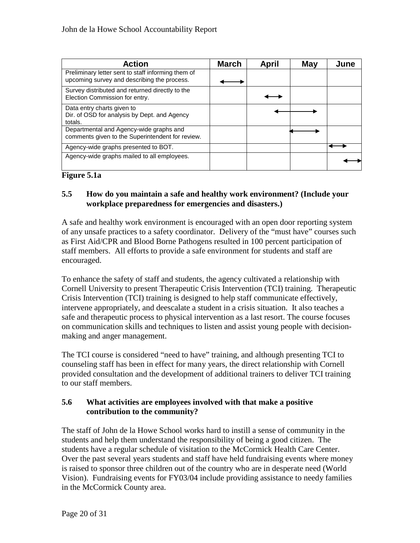| <b>Action</b>                                                                                     | <b>March</b> | April | May | June |
|---------------------------------------------------------------------------------------------------|--------------|-------|-----|------|
| Preliminary letter sent to staff informing them of<br>upcoming survey and describing the process. |              |       |     |      |
| Survey distributed and returned directly to the<br>Election Commission for entry.                 |              |       |     |      |
| Data entry charts given to<br>Dir. of OSD for analysis by Dept. and Agency<br>totals.             |              |       |     |      |
| Departmental and Agency-wide graphs and<br>comments given to the Superintendent for review.       |              |       |     |      |
| Agency-wide graphs presented to BOT.                                                              |              |       |     |      |
| Agency-wide graphs mailed to all employees.                                                       |              |       |     |      |



#### **5.5 How do you maintain a safe and healthy work environment? (Include your workplace preparedness for emergencies and disasters.)**

A safe and healthy work environment is encouraged with an open door reporting system of any unsafe practices to a safety coordinator. Delivery of the "must have" courses such as First Aid/CPR and Blood Borne Pathogens resulted in 100 percent participation of staff members. All efforts to provide a safe environment for students and staff are encouraged.

To enhance the safety of staff and students, the agency cultivated a relationship with Cornell University to present Therapeutic Crisis Intervention (TCI) training. Therapeutic Crisis Intervention (TCI) training is designed to help staff communicate effectively, intervene appropriately, and deescalate a student in a crisis situation. It also teaches a safe and therapeutic process to physical intervention as a last resort. The course focuses on communication skills and techniques to listen and assist young people with decisionmaking and anger management.

The TCI course is considered "need to have" training, and although presenting TCI to counseling staff has been in effect for many years, the direct relationship with Cornell provided consultation and the development of additional trainers to deliver TCI training to our staff members.

#### **5.6 What activities are employees involved with that make a positive contribution to the community?**

The staff of John de la Howe School works hard to instill a sense of community in the students and help them understand the responsibility of being a good citizen. The students have a regular schedule of visitation to the McCormick Health Care Center. Over the past several years students and staff have held fundraising events where money is raised to sponsor three children out of the country who are in desperate need (World Vision). Fundraising events for FY03/04 include providing assistance to needy families in the McCormick County area.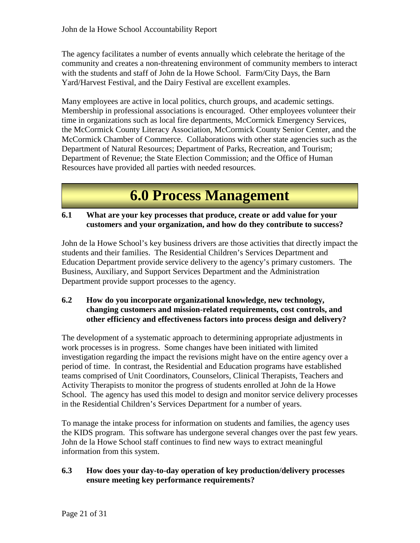The agency facilitates a number of events annually which celebrate the heritage of the community and creates a non-threatening environment of community members to interact with the students and staff of John de la Howe School. Farm/City Days, the Barn Yard/Harvest Festival, and the Dairy Festival are excellent examples.

Many employees are active in local politics, church groups, and academic settings. Membership in professional associations is encouraged. Other employees volunteer their time in organizations such as local fire departments, McCormick Emergency Services, the McCormick County Literacy Association, McCormick County Senior Center, and the McCormick Chamber of Commerce. Collaborations with other state agencies such as the Department of Natural Resources; Department of Parks, Recreation, and Tourism; Department of Revenue; the State Election Commission; and the Office of Human Resources have provided all parties with needed resources.

### **6.0 Process Management**

#### **6.1 What are your key processes that produce, create or add value for your customers and your organization, and how do they contribute to success?**

John de la Howe School's key business drivers are those activities that directly impact the students and their families. The Residential Children's Services Department and Education Department provide service delivery to the agency's primary customers. The Business, Auxiliary, and Support Services Department and the Administration Department provide support processes to the agency.

#### **6.2 How do you incorporate organizational knowledge, new technology, changing customers and mission-related requirements, cost controls, and other efficiency and effectiveness factors into process design and delivery?**

The development of a systematic approach to determining appropriate adjustments in work processes is in progress. Some changes have been initiated with limited investigation regarding the impact the revisions might have on the entire agency over a period of time. In contrast, the Residential and Education programs have established teams comprised of Unit Coordinators, Counselors, Clinical Therapists, Teachers and Activity Therapists to monitor the progress of students enrolled at John de la Howe School. The agency has used this model to design and monitor service delivery processes in the Residential Children's Services Department for a number of years.

To manage the intake process for information on students and families, the agency uses the KIDS program. This software has undergone several changes over the past few years. John de la Howe School staff continues to find new ways to extract meaningful information from this system.

#### **6.3 How does your day-to-day operation of key production/delivery processes ensure meeting key performance requirements?**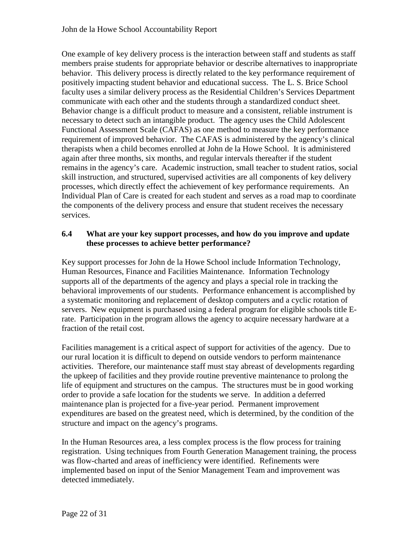One example of key delivery process is the interaction between staff and students as staff members praise students for appropriate behavior or describe alternatives to inappropriate behavior. This delivery process is directly related to the key performance requirement of positively impacting student behavior and educational success. The L. S. Brice School faculty uses a similar delivery process as the Residential Children's Services Department communicate with each other and the students through a standardized conduct sheet. Behavior change is a difficult product to measure and a consistent, reliable instrument is necessary to detect such an intangible product. The agency uses the Child Adolescent Functional Assessment Scale (CAFAS) as one method to measure the key performance requirement of improved behavior. The CAFAS is administered by the agency's clinical therapists when a child becomes enrolled at John de la Howe School. It is administered again after three months, six months, and regular intervals thereafter if the student remains in the agency's care. Academic instruction, small teacher to student ratios, social skill instruction, and structured, supervised activities are all components of key delivery processes, which directly effect the achievement of key performance requirements. An Individual Plan of Care is created for each student and serves as a road map to coordinate the components of the delivery process and ensure that student receives the necessary services.

#### **6.4 What are your key support processes, and how do you improve and update these processes to achieve better performance?**

Key support processes for John de la Howe School include Information Technology, Human Resources, Finance and Facilities Maintenance. Information Technology supports all of the departments of the agency and plays a special role in tracking the behavioral improvements of our students. Performance enhancement is accomplished by a systematic monitoring and replacement of desktop computers and a cyclic rotation of servers. New equipment is purchased using a federal program for eligible schools title Erate. Participation in the program allows the agency to acquire necessary hardware at a fraction of the retail cost.

Facilities management is a critical aspect of support for activities of the agency. Due to our rural location it is difficult to depend on outside vendors to perform maintenance activities. Therefore, our maintenance staff must stay abreast of developments regarding the upkeep of facilities and they provide routine preventive maintenance to prolong the life of equipment and structures on the campus. The structures must be in good working order to provide a safe location for the students we serve. In addition a deferred maintenance plan is projected for a five-year period. Permanent improvement expenditures are based on the greatest need, which is determined, by the condition of the structure and impact on the agency's programs.

In the Human Resources area, a less complex process is the flow process for training registration. Using techniques from Fourth Generation Management training, the process was flow-charted and areas of inefficiency were identified. Refinements were implemented based on input of the Senior Management Team and improvement was detected immediately.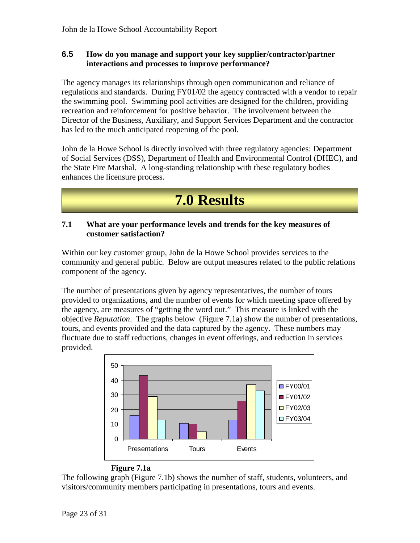#### **6.5 How do you manage and support your key supplier/contractor/partner interactions and processes to improve performance?**

The agency manages its relationships through open communication and reliance of regulations and standards. During FY01/02 the agency contracted with a vendor to repair the swimming pool. Swimming pool activities are designed for the children, providing recreation and reinforcement for positive behavior. The involvement between the Director of the Business, Auxiliary, and Support Services Department and the contractor has led to the much anticipated reopening of the pool.

John de la Howe School is directly involved with three regulatory agencies: Department of Social Services (DSS), Department of Health and Environmental Control (DHEC), and the State Fire Marshal. A long-standing relationship with these regulatory bodies enhances the licensure process.



#### **7.1 What are your performance levels and trends for the key measures of customer satisfaction?**

Within our key customer group, John de la Howe School provides services to the community and general public. Below are output measures related to the public relations component of the agency.

The number of presentations given by agency representatives, the number of tours provided to organizations, and the number of events for which meeting space offered by the agency, are measures of "getting the word out." This measure is linked with the objective *Reputation*. The graphs below (Figure 7.1a) show the number of presentations, tours, and events provided and the data captured by the agency. These numbers may fluctuate due to staff reductions, changes in event offerings, and reduction in services provided.



#### **Figure 7.1a**

The following graph (Figure 7.1b) shows the number of staff, students, volunteers, and visitors/community members participating in presentations, tours and events.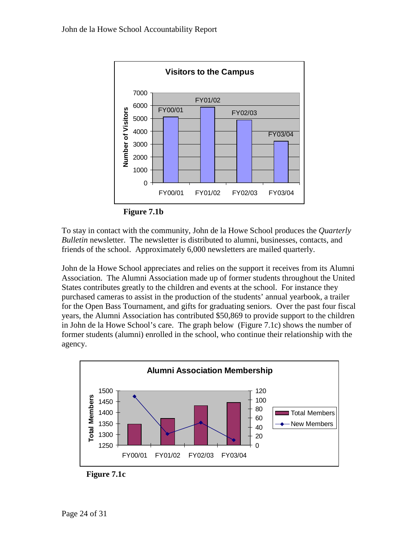

**Figure 7.1b**

To stay in contact with the community, John de la Howe School produces the *Quarterly Bulletin* newsletter. The newsletter is distributed to alumni, businesses, contacts, and friends of the school. Approximately 6,000 newsletters are mailed quarterly.

John de la Howe School appreciates and relies on the support it receives from its Alumni Association. The Alumni Association made up of former students throughout the United States contributes greatly to the children and events at the school. For instance they purchased cameras to assist in the production of the students' annual yearbook, a trailer for the Open Bass Tournament, and gifts for graduating seniors. Over the past four fiscal years, the Alumni Association has contributed \$50,869 to provide support to the children in John de la Howe School's care. The graph below (Figure 7.1c) shows the number of former students (alumni) enrolled in the school, who continue their relationship with the agency.



**Figure 7.1c**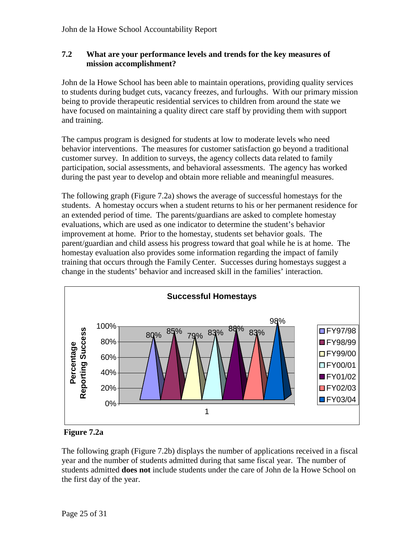#### **7.2 What are your performance levels and trends for the key measures of mission accomplishment?**

John de la Howe School has been able to maintain operations, providing quality services to students during budget cuts, vacancy freezes, and furloughs. With our primary mission being to provide therapeutic residential services to children from around the state we have focused on maintaining a quality direct care staff by providing them with support and training.

The campus program is designed for students at low to moderate levels who need behavior interventions. The measures for customer satisfaction go beyond a traditional customer survey. In addition to surveys, the agency collects data related to family participation, social assessments, and behavioral assessments. The agency has worked during the past year to develop and obtain more reliable and meaningful measures.

The following graph (Figure 7.2a) shows the average of successful homestays for the students. A homestay occurs when a student returns to his or her permanent residence for an extended period of time. The parents/guardians are asked to complete homestay evaluations, which are used as one indicator to determine the student's behavior improvement at home. Prior to the homestay, students set behavior goals. The parent/guardian and child assess his progress toward that goal while he is at home. The homestay evaluation also provides some information regarding the impact of family training that occurs through the Family Center. Successes during homestays suggest a change in the students' behavior and increased skill in the families' interaction.



**Figure 7.2a**

The following graph (Figure 7.2b) displays the number of applications received in a fiscal year and the number of students admitted during that same fiscal year. The number of students admitted **does not** include students under the care of John de la Howe School on the first day of the year.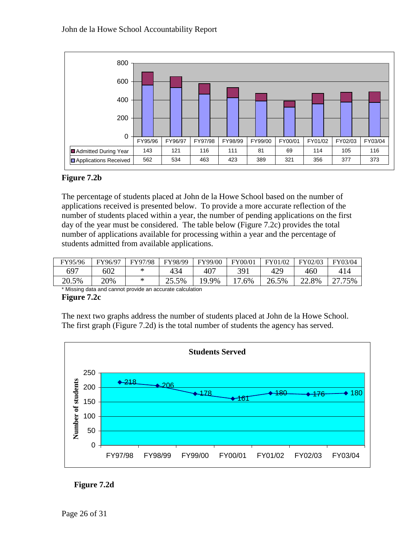

#### **Figure 7.2b**

The percentage of students placed at John de la Howe School based on the number of applications received is presented below. To provide a more accurate reflection of the number of students placed within a year, the number of pending applications on the first day of the year must be considered. The table below (Figure 7.2c) provides the total number of applications available for processing within a year and the percentage of students admitted from available applications.

| FY95/96 | FY96/97 | FY97/98 | FY98/99 | FY99/00 | FY00/01 | FY01/02 | FY02/03 | FY03/04 |
|---------|---------|---------|---------|---------|---------|---------|---------|---------|
| 697     | 602     | ∗       | 434     | 407     | 391     | 429     | 460     |         |
| 20.5%   | 20%     | *       | 25.5%   | 19.9%   | 17.6%   | 26.5%   | 22.8%   | 75%     |

\* Missing data and cannot provide an accurate calculation

#### **Figure 7.2c**

The next two graphs address the number of students placed at John de la Howe School. The first graph (Figure 7.2d) is the total number of students the agency has served.



#### **Figure 7.2d**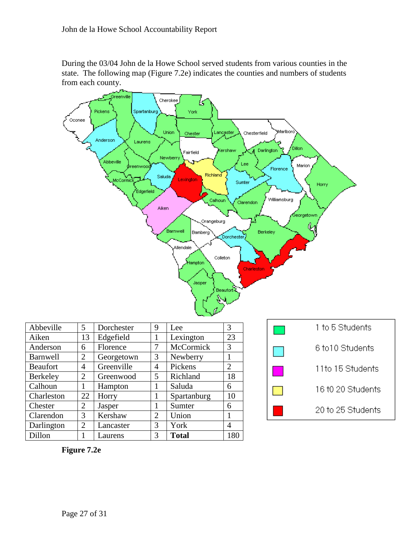During the 03/04 John de la Howe School served students from various counties in the state. The following map (Figure 7.2e) indicates the counties and numbers of students from each county.



| Abbeville       | 5              | Dorchester | 9              | Lee          | 3              |
|-----------------|----------------|------------|----------------|--------------|----------------|
| Aiken           | 13             | Edgefield  |                | Lexington    | 23             |
| Anderson        | 6              | Florence   | 7              | McCormick    | 3              |
| <b>Barnwell</b> | 2              | Georgetown | $\mathcal{R}$  | Newberry     |                |
| <b>Beaufort</b> | 4              | Greenville | 4              | Pickens      | $\overline{2}$ |
| Berkeley        | 2              | Greenwood  | 5              | Richland     | 18             |
| Calhoun         |                | Hampton    |                | Saluda       | 6              |
| Charleston      | 22             | Horry      |                | Spartanburg  | 10             |
| Chester         | $\overline{2}$ | Jasper     |                | Sumter       | 6              |
| Clarendon       | 3              | Kershaw    | $\overline{2}$ | Union        | 1              |
| Darlington      | 2              | Lancaster  | 3              | York         | 4              |
| Dillon          |                | Laurens    | 3              | <b>Total</b> | 180            |

| 1 to 5 Students   |  |  |  |  |  |
|-------------------|--|--|--|--|--|
| 6 to10 Students   |  |  |  |  |  |
| 11to 15 Students  |  |  |  |  |  |
| 16 t0 20 Students |  |  |  |  |  |
| 20 to 25 Students |  |  |  |  |  |

**Figure 7.2e**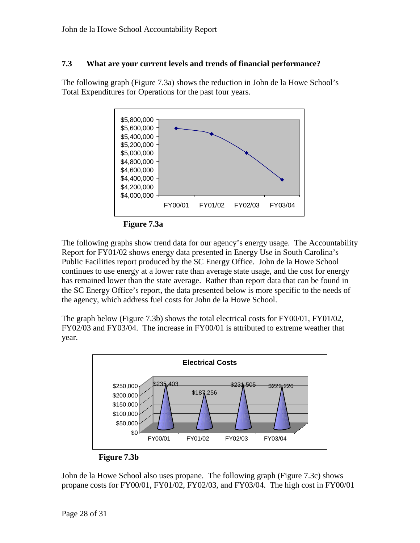#### **7.3 What are your current levels and trends of financial performance?**

The following graph (Figure 7.3a) shows the reduction in John de la Howe School's Total Expenditures for Operations for the past four years.



**Figure 7.3a**

The following graphs show trend data for our agency's energy usage. The Accountability Report for FY01/02 shows energy data presented in Energy Use in South Carolina's Public Facilities report produced by the SC Energy Office. John de la Howe School continues to use energy at a lower rate than average state usage, and the cost for energy has remained lower than the state average. Rather than report data that can be found in the SC Energy Office's report, the data presented below is more specific to the needs of the agency, which address fuel costs for John de la Howe School.

The graph below (Figure 7.3b) shows the total electrical costs for FY00/01, FY01/02, FY02/03 and FY03/04. The increase in FY00/01 is attributed to extreme weather that year.



**Figure 7.3b**

John de la Howe School also uses propane. The following graph (Figure 7.3c) shows propane costs for FY00/01, FY01/02, FY02/03, and FY03/04. The high cost in FY00/01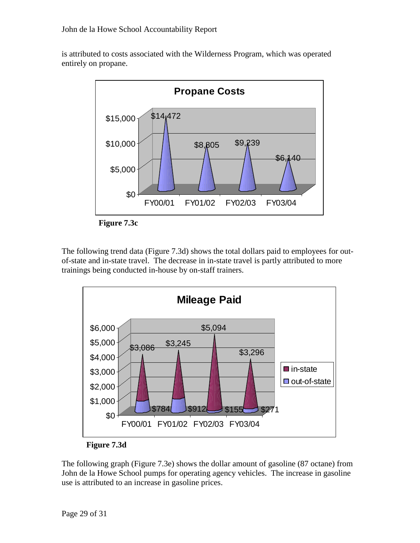is attributed to costs associated with the Wilderness Program, which was operated entirely on propane.



**Figure 7.3c**

The following trend data (Figure 7.3d) shows the total dollars paid to employees for outof-state and in-state travel. The decrease in in-state travel is partly attributed to more trainings being conducted in-house by on-staff trainers.





The following graph (Figure 7.3e) shows the dollar amount of gasoline (87 octane) from John de la Howe School pumps for operating agency vehicles. The increase in gasoline use is attributed to an increase in gasoline prices.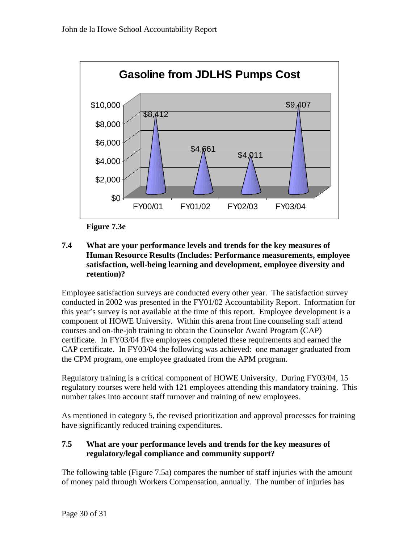

**Figure 7.3e**

#### **7.4 What are your performance levels and trends for the key measures of Human Resource Results (Includes: Performance measurements, employee satisfaction, well-being learning and development, employee diversity and retention)?**

Employee satisfaction surveys are conducted every other year. The satisfaction survey conducted in 2002 was presented in the FY01/02 Accountability Report. Information for this year's survey is not available at the time of this report. Employee development is a component of HOWE University. Within this arena front line counseling staff attend courses and on-the-job training to obtain the Counselor Award Program (CAP) certificate. In FY03/04 five employees completed these requirements and earned the CAP certificate. In FY03/04 the following was achieved: one manager graduated from the CPM program, one employee graduated from the APM program.

Regulatory training is a critical component of HOWE University. During FY03/04, 15 regulatory courses were held with 121 employees attending this mandatory training. This number takes into account staff turnover and training of new employees.

As mentioned in category 5, the revised prioritization and approval processes for training have significantly reduced training expenditures.

#### **7.5 What are your performance levels and trends for the key measures of regulatory/legal compliance and community support?**

The following table (Figure 7.5a) compares the number of staff injuries with the amount of money paid through Workers Compensation, annually. The number of injuries has